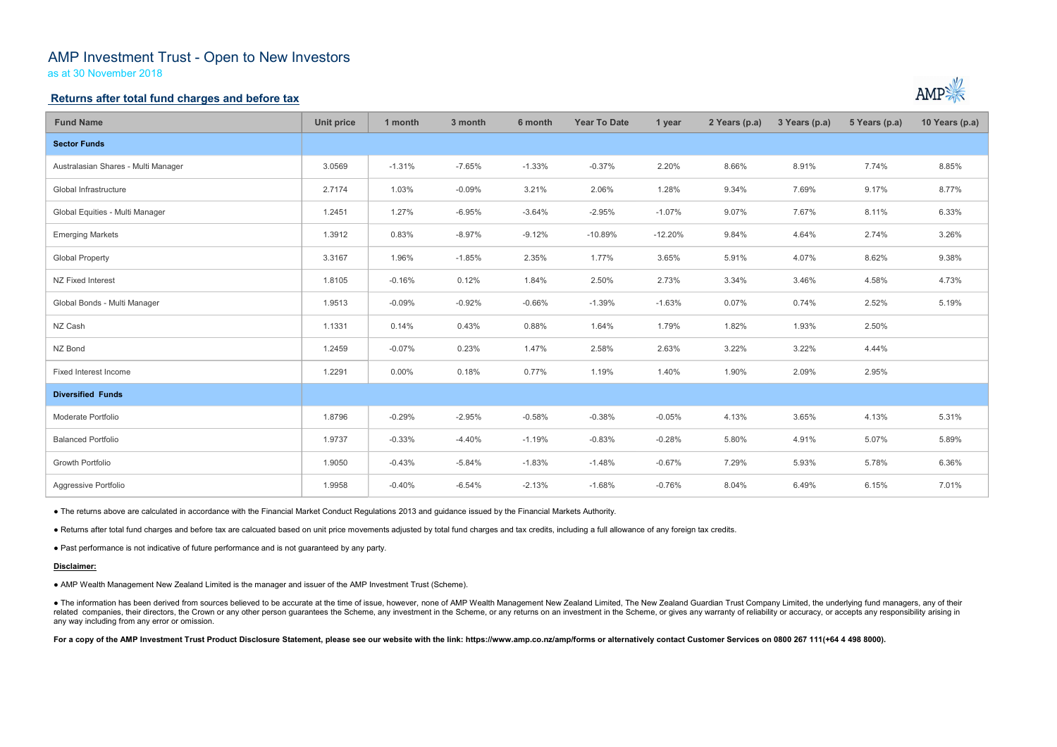# AMP Investment Trust - Open to New Investors

as at 30 November 2018

## Returns after total fund charges and before tax

| <b>Fund Name</b>                                                                                                                                                                                                                                                                                                                                                                                                                                                                                                 | <b>Unit price</b> | 1 month  | 3 month  | 6 month  | <b>Year To Date</b> | 1 year    | 2 Years (p.a) | 3 Years (p.a) | 5 Years (p.a) | 10 Years (p.a) |
|------------------------------------------------------------------------------------------------------------------------------------------------------------------------------------------------------------------------------------------------------------------------------------------------------------------------------------------------------------------------------------------------------------------------------------------------------------------------------------------------------------------|-------------------|----------|----------|----------|---------------------|-----------|---------------|---------------|---------------|----------------|
| <b>Sector Funds</b>                                                                                                                                                                                                                                                                                                                                                                                                                                                                                              |                   |          |          |          |                     |           |               |               |               |                |
| Australasian Shares - Multi Manager                                                                                                                                                                                                                                                                                                                                                                                                                                                                              | 3.0569            | $-1.31%$ | $-7.65%$ | $-1.33%$ | $-0.37%$            | 2.20%     | 8.66%         | 8.91%         | 7.74%         | 8.85%          |
| Global Infrastructure                                                                                                                                                                                                                                                                                                                                                                                                                                                                                            | 2.7174            | 1.03%    | $-0.09%$ | 3.21%    | 2.06%               | 1.28%     | 9.34%         | 7.69%         | 9.17%         | 8.77%          |
| Global Equities - Multi Manager                                                                                                                                                                                                                                                                                                                                                                                                                                                                                  | 1.2451            | 1.27%    | $-6.95%$ | $-3.64%$ | $-2.95%$            | $-1.07%$  | 9.07%         | 7.67%         | 8.11%         | 6.33%          |
| <b>Emerging Markets</b>                                                                                                                                                                                                                                                                                                                                                                                                                                                                                          | 1.3912            | 0.83%    | $-8.97%$ | $-9.12%$ | $-10.89%$           | $-12.20%$ | 9.84%         | 4.64%         | 2.74%         | 3.26%          |
| <b>Global Property</b>                                                                                                                                                                                                                                                                                                                                                                                                                                                                                           | 3.3167            | 1.96%    | $-1.85%$ | 2.35%    | 1.77%               | 3.65%     | 5.91%         | 4.07%         | 8.62%         | 9.38%          |
| NZ Fixed Interest                                                                                                                                                                                                                                                                                                                                                                                                                                                                                                | 1.8105            | $-0.16%$ | 0.12%    | 1.84%    | 2.50%               | 2.73%     | 3.34%         | 3.46%         | 4.58%         | 4.73%          |
| Global Bonds - Multi Manager                                                                                                                                                                                                                                                                                                                                                                                                                                                                                     | 1.9513            | $-0.09%$ | $-0.92%$ | $-0.66%$ | $-1.39%$            | $-1.63%$  | 0.07%         | 0.74%         | 2.52%         | 5.19%          |
| NZ Cash                                                                                                                                                                                                                                                                                                                                                                                                                                                                                                          | 1.1331            | 0.14%    | 0.43%    | 0.88%    | 1.64%               | 1.79%     | 1.82%         | 1.93%         | 2.50%         |                |
| NZ Bond                                                                                                                                                                                                                                                                                                                                                                                                                                                                                                          | 1.2459            | $-0.07%$ | 0.23%    | 1.47%    | 2.58%               | 2.63%     | 3.22%         | 3.22%         | 4.44%         |                |
| Fixed Interest Income                                                                                                                                                                                                                                                                                                                                                                                                                                                                                            | 1.2291            | 0.00%    | 0.18%    | 0.77%    | 1.19%               | 1.40%     | 1.90%         | 2.09%         | 2.95%         |                |
| <b>Diversified Funds</b>                                                                                                                                                                                                                                                                                                                                                                                                                                                                                         |                   |          |          |          |                     |           |               |               |               |                |
| Moderate Portfolio                                                                                                                                                                                                                                                                                                                                                                                                                                                                                               | 1.8796            | $-0.29%$ | $-2.95%$ | $-0.58%$ | $-0.38%$            | $-0.05%$  | 4.13%         | 3.65%         | 4.13%         | 5.31%          |
| <b>Balanced Portfolio</b>                                                                                                                                                                                                                                                                                                                                                                                                                                                                                        | 1.9737            | $-0.33%$ | $-4.40%$ | $-1.19%$ | $-0.83%$            | $-0.28%$  | 5.80%         | 4.91%         | 5.07%         | 5.89%          |
| Growth Portfolio                                                                                                                                                                                                                                                                                                                                                                                                                                                                                                 | 1.9050            | $-0.43%$ | $-5.84%$ | $-1.83%$ | $-1.48%$            | $-0.67%$  | 7.29%         | 5.93%         | 5.78%         | 6.36%          |
| Aggressive Portfolio                                                                                                                                                                                                                                                                                                                                                                                                                                                                                             | 1.9958            | $-0.40%$ | $-6.54%$ | $-2.13%$ | $-1.68%$            | $-0.76%$  | 8.04%         | 6.49%         | 6.15%         | 7.01%          |
| • The returns above are calculated in accordance with the Financial Market Conduct Regulations 2013 and guidance issued by the Financial Markets Authority.                                                                                                                                                                                                                                                                                                                                                      |                   |          |          |          |                     |           |               |               |               |                |
| . Returns after total fund charges and before tax are calcuated based on unit price movements adjusted by total fund charges and tax credits, including a full allowance of any foreign tax credits.                                                                                                                                                                                                                                                                                                             |                   |          |          |          |                     |           |               |               |               |                |
| • Past performance is not indicative of future performance and is not guaranteed by any party.                                                                                                                                                                                                                                                                                                                                                                                                                   |                   |          |          |          |                     |           |               |               |               |                |
| Disclaimer:                                                                                                                                                                                                                                                                                                                                                                                                                                                                                                      |                   |          |          |          |                     |           |               |               |               |                |
| • AMP Wealth Management New Zealand Limited is the manager and issuer of the AMP Investment Trust (Scheme).                                                                                                                                                                                                                                                                                                                                                                                                      |                   |          |          |          |                     |           |               |               |               |                |
| • The information has been derived from sources believed to be accurate at the time of issue, however, none of AMP Wealth Management New Zealand Limited, The New Zealand Guardian Trust Company Limited, the underlying fund<br>related companies, their directors, the Crown or any other person guarantees the Scheme, any investment in the Scheme, or any returns on an investment in the Scheme, or gives any warranty of reliability or accuracy, or acc<br>any way including from any error or omission. |                   |          |          |          |                     |           |               |               |               |                |
| For a copy of the AMP Investment Trust Product Disclosure Statement, please see our website with the link: https://www.amp.co.nz/amp/forms or alternatively contact Customer Services on 0800 267 111(+64 4 498 8000).                                                                                                                                                                                                                                                                                           |                   |          |          |          |                     |           |               |               |               |                |
|                                                                                                                                                                                                                                                                                                                                                                                                                                                                                                                  |                   |          |          |          |                     |           |               |               |               |                |



#### Disclaimer: